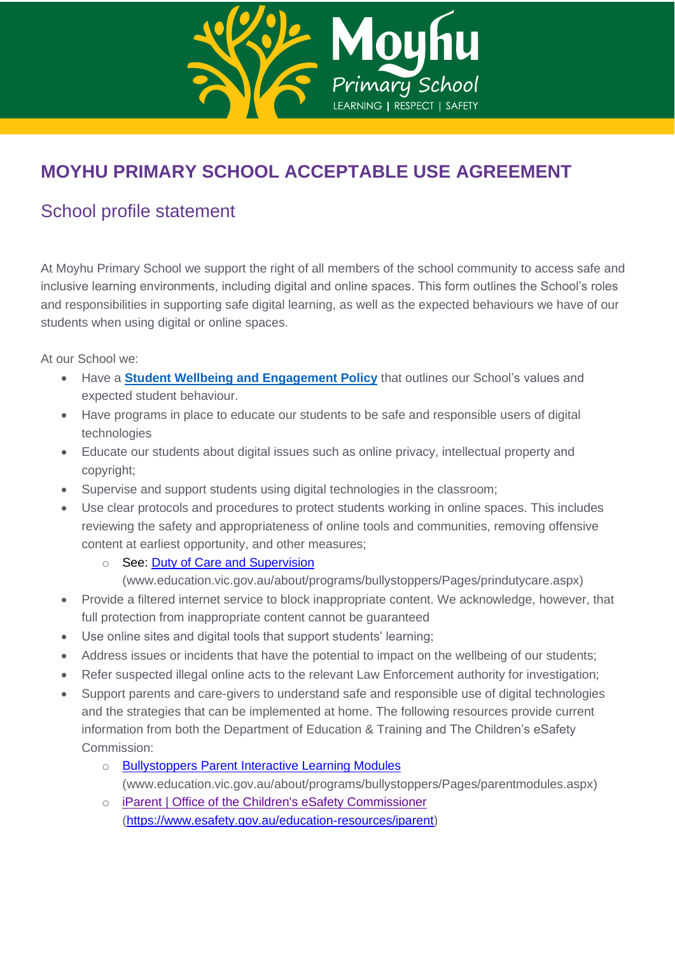

## **MOYHU PRIMARY SCHOOL ACCEPTABLE USE AGREEMENT**

## School profile statement

At Moyhu Primary School we support the right of all members of the school community to access safe and inclusive learning environments, including digital and online spaces. This form outlines the School's roles and responsibilities in supporting safe digital learning, as well as the expected behaviours we have of our students when using digital or online spaces.

At our School we:

- Have a **[Student Wellbeing and Engagement Policy](https://rcases.eduweb.vic.gov.au/RDWeb/Pages/en-US/Default.aspx)** that outlines our School's values and expected student behaviour.
- Have programs in place to educate our students to be safe and responsible users of digital technologies
- Educate our students about digital issues such as online privacy, intellectual property and copyright;
- Supervise and support students using digital technologies in the classroom;
- Use clear protocols and procedures to protect students working in online spaces. This includes reviewing the safety and appropriateness of online tools and communities, removing offensive content at earliest opportunity, and other measures;
	- o See: [Duty of Care and Supervision](http://www.education.vic.gov.au/about/programs/bullystoppers/Pages/prindutycare.aspx) 
		- [\(www.education.vic.gov.au/about/programs/bullystoppers/Pages/prindutycare.aspx\)](http://www.education.vic.gov.au/about/programs/bullystoppers/Pages/prindutycare.aspx)
- Provide a filtered internet service to block inappropriate content. We acknowledge, however, that full protection from inappropriate content cannot be guaranteed
- Use online sites and digital tools that support students' learning;
- Address issues or incidents that have the potential to impact on the wellbeing of our students;
- Refer suspected illegal online acts to the relevant Law Enforcement authority for investigation;
- Support parents and care-givers to understand safe and responsible use of digital technologies and the strategies that can be implemented at home. The following resources provide current information from both the [Department of Education & Training](http://www.education.vic.gov.au/about/programs/bullystoppers/Pages/parentmodules.aspx) and The Children's eSafety Commission:
	- o [Bullystoppers Parent Interactive Learning Modules](http://www.education.vic.gov.au/about/programs/bullystoppers/Pages/parentmodules.aspx) [\(www.education.vic.gov.au/about/programs/bullystoppers/Pages/parentmodules.aspx\)](http://www.education.vic.gov.au/about/programs/bullystoppers/Pages/parentmodules.aspx)
	- o [iParent | Office of the Children's eSafety Commissioner](https://www.esafety.gov.au/education-resources/iparent) [\(https://www.esafety.gov.au/education-resources/iparent\)](https://www.esafety.gov.au/education-resources/iparent)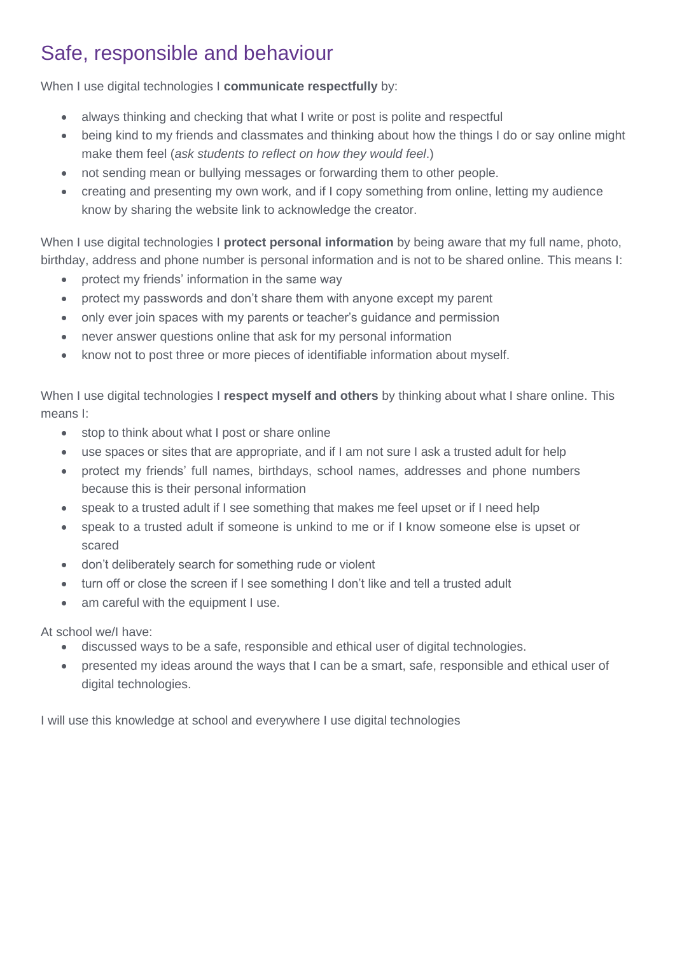## Safe, responsible and behaviour

When I use digital technologies I **communicate respectfully** by:

- always thinking and checking that what I write or post is polite and respectful
- being kind to my friends and classmates and thinking about how the things I do or say online might make them feel (*ask students to reflect on how they would feel*.)
- not sending mean or bullying messages or forwarding them to other people.
- creating and presenting my own work, and if I copy something from online, letting my audience know by sharing the website link to acknowledge the creator.

When I use digital technologies I **protect personal information** by being aware that my full name, photo, birthday, address and phone number is personal information and is not to be shared online. This means I:

- protect my friends' information in the same way
- protect my passwords and don't share them with anyone except my parent
- only ever join spaces with my parents or teacher's guidance and permission
- never answer questions online that ask for my personal information
- know not to post three or more pieces of identifiable information about myself.

When I use digital technologies I **respect myself and others** by thinking about what I share online. This means I:

- stop to think about what I post or share online
- use spaces or sites that are appropriate, and if I am not sure I ask a trusted adult for help
- protect my friends' full names, birthdays, school names, addresses and phone numbers because this is their personal information
- speak to a trusted adult if I see something that makes me feel upset or if I need help
- speak to a trusted adult if someone is unkind to me or if I know someone else is upset or scared
- don't deliberately search for something rude or violent
- turn off or close the screen if I see something I don't like and tell a trusted adult
- am careful with the equipment I use.

At school we/I have:

- discussed ways to be a safe, responsible and ethical user of digital technologies.
- presented my ideas around the ways that I can be a smart, safe, responsible and ethical user of digital technologies.

I will use this knowledge at school and everywhere I use digital technologies